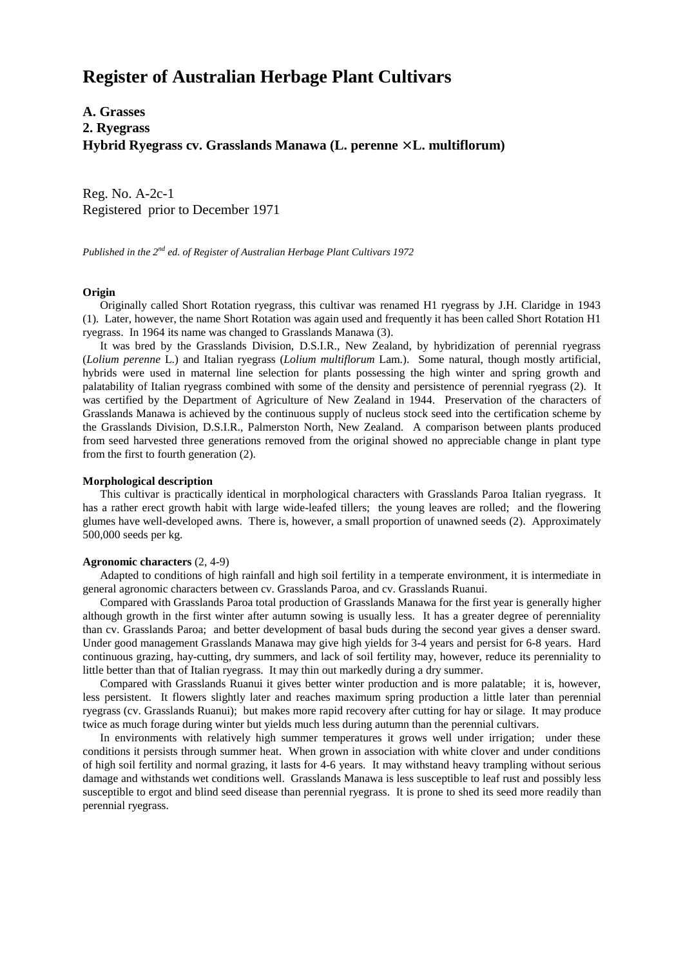# **Register of Australian Herbage Plant Cultivars**

**A. Grasses 2. Ryegrass Hybrid Ryegrass cv. Grasslands Manawa (L. perenne** × **L. multiflorum)**

Reg. No. A-2c-1 Registered prior to December 1971

*Published in the 2nd ed. of Register of Australian Herbage Plant Cultivars 1972*

#### **Origin**

 Originally called Short Rotation ryegrass, this cultivar was renamed H1 ryegrass by J.H. Claridge in 1943 (1). Later, however, the name Short Rotation was again used and frequently it has been called Short Rotation H1 ryegrass. In 1964 its name was changed to Grasslands Manawa (3).

 It was bred by the Grasslands Division, D.S.I.R., New Zealand, by hybridization of perennial ryegrass (*Lolium perenne* L.) and Italian ryegrass (*Lolium multiflorum* Lam.). Some natural, though mostly artificial, hybrids were used in maternal line selection for plants possessing the high winter and spring growth and palatability of Italian ryegrass combined with some of the density and persistence of perennial ryegrass (2). It was certified by the Department of Agriculture of New Zealand in 1944. Preservation of the characters of Grasslands Manawa is achieved by the continuous supply of nucleus stock seed into the certification scheme by the Grasslands Division, D.S.I.R., Palmerston North, New Zealand. A comparison between plants produced from seed harvested three generations removed from the original showed no appreciable change in plant type from the first to fourth generation (2).

#### **Morphological description**

 This cultivar is practically identical in morphological characters with Grasslands Paroa Italian ryegrass. It has a rather erect growth habit with large wide-leafed tillers; the young leaves are rolled; and the flowering glumes have well-developed awns. There is, however, a small proportion of unawned seeds (2). Approximately 500,000 seeds per kg.

### **Agronomic characters** (2, 4-9)

 Adapted to conditions of high rainfall and high soil fertility in a temperate environment, it is intermediate in general agronomic characters between cv. Grasslands Paroa, and cv. Grasslands Ruanui.

 Compared with Grasslands Paroa total production of Grasslands Manawa for the first year is generally higher although growth in the first winter after autumn sowing is usually less. It has a greater degree of perenniality than cv. Grasslands Paroa; and better development of basal buds during the second year gives a denser sward. Under good management Grasslands Manawa may give high yields for 3-4 years and persist for 6-8 years. Hard continuous grazing, hay-cutting, dry summers, and lack of soil fertility may, however, reduce its perenniality to little better than that of Italian ryegrass. It may thin out markedly during a dry summer.

 Compared with Grasslands Ruanui it gives better winter production and is more palatable; it is, however, less persistent. It flowers slightly later and reaches maximum spring production a little later than perennial ryegrass (cv. Grasslands Ruanui); but makes more rapid recovery after cutting for hay or silage. It may produce twice as much forage during winter but yields much less during autumn than the perennial cultivars.

 In environments with relatively high summer temperatures it grows well under irrigation; under these conditions it persists through summer heat. When grown in association with white clover and under conditions of high soil fertility and normal grazing, it lasts for 4-6 years. It may withstand heavy trampling without serious damage and withstands wet conditions well. Grasslands Manawa is less susceptible to leaf rust and possibly less susceptible to ergot and blind seed disease than perennial ryegrass. It is prone to shed its seed more readily than perennial ryegrass.